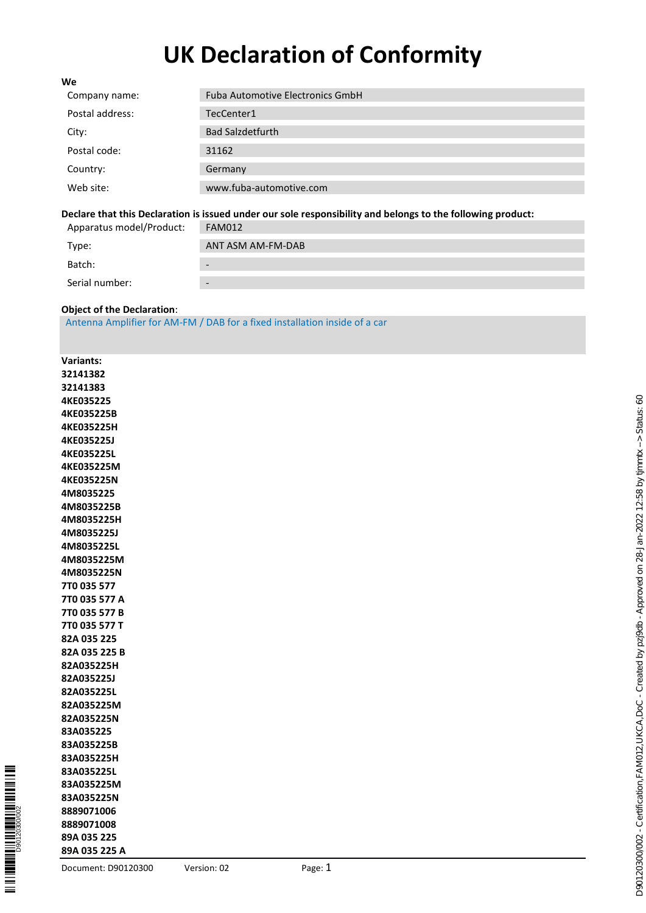# **UK Declaration of Conformity**

| <b>Fuba Automotive Electronics GmbH</b> |
|-----------------------------------------|
| TecCenter1                              |
| <b>Bad Salzdetfurth</b>                 |
| 31162                                   |
| Germany                                 |
| www.fuba-automotive.com                 |
|                                         |

#### **Declare that this Declaration is issued under our sole responsibility and belongs to the following product:**

| Apparatus model/Product: | FAM012                   |
|--------------------------|--------------------------|
| Type:                    | ANT ASM AM-FM-DAB        |
| Batch:                   |                          |
| Serial number:           | $\overline{\phantom{0}}$ |

#### **Object of the Declaration** :

Antenna Amplifier for AM -FM / DAB for a fixed installation inside of a car

| <b>Variants:</b>  |
|-------------------|
| 32141382          |
| 32141383          |
| <b>4KE035225</b>  |
| <b>4KE035225B</b> |
| 4KE035225H        |
| <b>4KE035225J</b> |
| 4KE035225L        |
| 4KE035225M        |
| 4KE035225N        |
| 4M8035225         |
| 4M8035225B        |
| 4M8035225H        |
| 4M8035225J        |
| 4M8035225L        |
| 4M8035225M        |
| 4M8035225N        |
| 7T0 035 577       |
| 7T0 035 577 A     |
| 7T0 035 577 B     |
| 7T0 035 577<br>т  |
| 82A 035 225       |
| 82A 035 225 B     |
| 82A035225H        |
| 82A035225J        |
| 82A035225L        |
| 82A035225M        |
| 82A035225N        |
| 83A035225         |
| 83A035225B        |
| 83A035225H        |
| 83A035225L        |
| 83A035225M        |
| 83A035225N        |
| 8889071006        |
| 8889071008        |
| 89A 035 225       |
| 89A 035 225<br>A  |